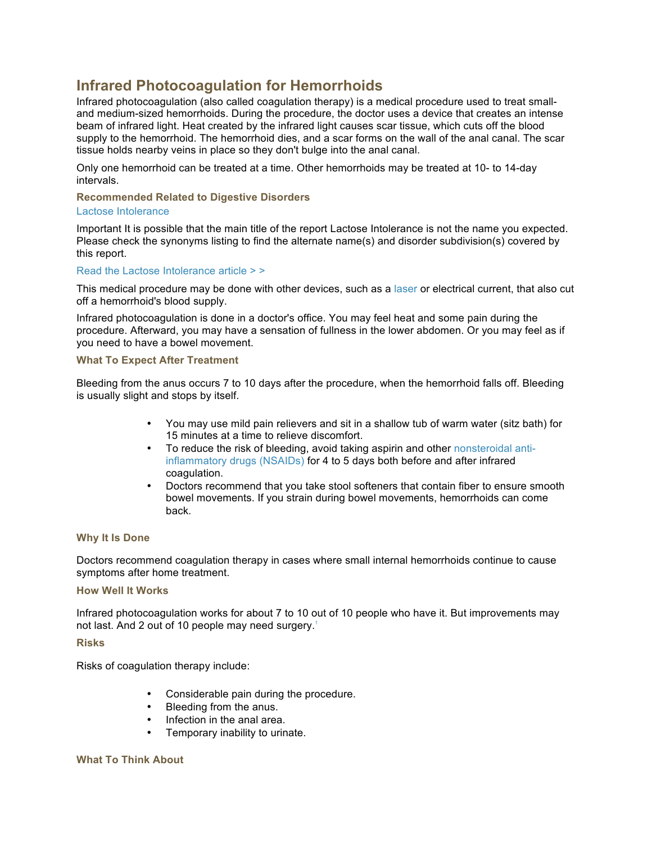# **Infrared Photocoagulation for Hemorrhoids**

Infrared photocoagulation (also called coagulation therapy) is a medical procedure used to treat smalland medium-sized hemorrhoids. During the procedure, the doctor uses a device that creates an intense beam of infrared light. Heat created by the infrared light causes scar tissue, which cuts off the blood supply to the hemorrhoid. The hemorrhoid dies, and a scar forms on the wall of the anal canal. The scar tissue holds nearby veins in place so they don't bulge into the anal canal.

Only one hemorrhoid can be treated at a time. Other hemorrhoids may be treated at 10- to 14-day intervals.

# **Recommended Related to Digestive Disorders**

## Lactose Intolerance

Important It is possible that the main title of the report Lactose Intolerance is not the name you expected. Please check the synonyms listing to find the alternate name(s) and disorder subdivision(s) covered by this report.

## Read the Lactose Intolerance article > >

This medical procedure may be done with other devices, such as a laser or electrical current, that also cut off a hemorrhoid's blood supply.

Infrared photocoagulation is done in a doctor's office. You may feel heat and some pain during the procedure. Afterward, you may have a sensation of fullness in the lower abdomen. Or you may feel as if you need to have a bowel movement.

# **What To Expect After Treatment**

Bleeding from the anus occurs 7 to 10 days after the procedure, when the hemorrhoid falls off. Bleeding is usually slight and stops by itself.

- You may use mild pain relievers and sit in a shallow tub of warm water (sitz bath) for 15 minutes at a time to relieve discomfort.
- To reduce the risk of bleeding, avoid taking aspirin and other nonsteroidal antiinflammatory drugs (NSAIDs) for 4 to 5 days both before and after infrared coagulation.
- Doctors recommend that you take stool softeners that contain fiber to ensure smooth bowel movements. If you strain during bowel movements, hemorrhoids can come back.

# **Why It Is Done**

Doctors recommend coagulation therapy in cases where small internal hemorrhoids continue to cause symptoms after home treatment.

#### **How Well It Works**

Infrared photocoagulation works for about 7 to 10 out of 10 people who have it. But improvements may not last. And 2 out of 10 people may need surgery.<sup>1</sup>

#### **Risks**

Risks of coagulation therapy include:

- Considerable pain during the procedure.
- Bleeding from the anus.
- Infection in the anal area.
- Temporary inability to urinate.

#### **What To Think About**